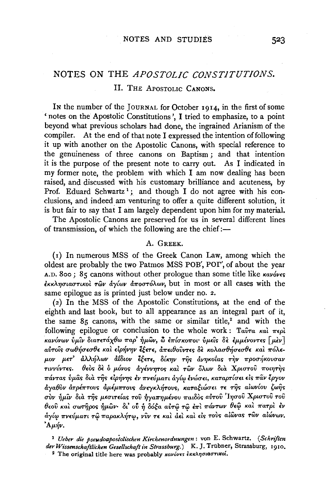# NOTES ON THE *APOSTOLIC CONSTITUTIONS.*  II. THE APOSTOLIC CANONS.

In the number of the JOURNAL for October 1914, in the first of some ' notes on the Apostolic Constitutions', I tried to emphasize, to a point beyond what previous scholars had done, the ingrained Arianism of the compiler. At the end of that note I expressed the intention of following it up with another on the Apostolic Canons, with special reference to the genuineness of three canons on Baptism ; and that intention it is the purpose of the present note to carry out. As I indicated in my former note, the problem with which I am now dealing has been raised, and discussed with his customary brilliance and acuteness, by Prof. Eduard Schwartz<sup>1</sup>; and though I do not agree with his conclusions, and indeed am venturing to offer a quite different solution, it is but fair to say that I am largely dependent upon him for my material.

The Apostolic Canons are preserved for us in several different lines of transmission, of which the following are the chief:-

### A. GREEK.

(1) In numerous MSS of the Greek Canon Law, among which the oldest are probably the two Patmos MSS POB', POT', of about the year A.D. 800; 85 canons without other prologue than some title like  $\kappa a\nu \acute{o} \nu \epsilon s$ *£KKA'YJCTiacrTiKo1 Twv ay{wv d?ToCTT6A.wv,* but in most or all cases with the same epilogue as is printed just below under no. 2.

(2) In the MSS of the Apostolic Constitutions, at the end of the eighth and last book, but to all appearance as an integral part of it, the same  $85$  canons, with the same or similar title,<sup>2</sup> and with the following epilogue or conclusion to the whole work: Ταῦτα καὶ περὶ<br>κανόνων ὑμῖν διατετάχθω παρ' ἡμῶν, ὢ ἐπίσκοποι· ὑμεῖς δὲ ἐμμένοντες [μὲν] *alJTols* crw8~cr£cr8E *KaL* dp~V'YJV *lt£n, d?Tu8ovvT£>* S£ KOAacr8~cr£CT8£ *Ka1 ?T6A£ µ.ov fL£T'* d>..A.~A.wv *dtSwv ;t£n, S{K'YJV* T~'> *dv'Y]KOta>* T~v ?Tpo~Kovcrav *TIVV*ύντες. θεός δε ο μόνος αγέννητος και των όλων δια Χριστού ποιητής  $\pi$ άντας ύμας δια της είρήνης έν πνεύματι αγίω ένώσει, καταρτίσει είς παν έργον  $\frac{\partial}{\partial y}a\theta\frac{\partial y}{\partial y}$  *dyentovs*  $\frac{\partial}{\partial y}a\theta\frac{\partial y}{\partial z}$  *<i>dwares*, *καταξιώσει τε της αίωνίου ζωής*  $\sigma$ νν ήμῖν διà τῆς μεσιτείας τοῦ ἠγαπημένου παιδὸς αὐτοῦ 'Ιησοῦ Χριστοῦ τοῦ *8rnv Ka1* crw~po> ~µ.wv• *Si'* o~ ~ *S6ta alJT<i' Tei'* £?T1 *?TaVTwv 8£<i> Ka1 ?TaTp1 £v*   $\dot{a}$ γίω πνεύματι τώ παρακλήτω, νύν τε και αει και είς τους αίώνας των αιώνων.  $A\mu\acute{\eta}\nu.$ 

<sup>1</sup>*Ueber die pseudoapostolischen Kirchenordnungen:* von E. Schwartz. *(SchnJten der Wissenschaftlichen Gesellschaft in Strassburg.)* K. *].* Trtibner, Strassburg, 1910. <sup>2</sup> The original title here was probably  $\kappa a\nu \acute{o} \nu \epsilon s \grave{\epsilon} \kappa \kappa \lambda \eta \sigma \iota a \sigma \tau \iota \kappa o \iota$ .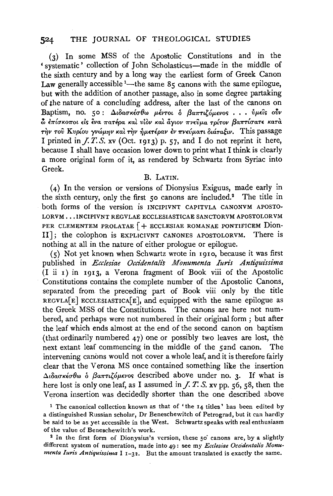(3) In some MSS of the Apostolic Constitutions and in the 'systematic' collection of John Scholasticus-made in the middle of the sixth century and by a long way the earliest form of Greek Canon Law generally accessible  $^{1}$ —the same 85 canons with the same epilogue, but with the addition of another passage, also in some degree partaking of the nature of a concluding address, after the last of the canons on Baptism, no. 50: Διδασκέσθω μέντοι δ βαπτιζόμενος... ύμεις ούν  $\phi$  επίσκοποι είς ένα πατέρα και υίον και άγιον πνεύμα τρίτον βαπτίσατε κατά την του Κυρίου γνώμην και την ήμετέραν εν πνεύματι διάταξιν. This passage I printed in  $f. T. S. xv$  (Oct. 1913) p. 57, and I do not reprint it here, because I shall have occasion lower down to print what I think is clearly a more original form of it, as rendered by Schwartz from Syriac into Greek.

### B. LATIN.

(4) In the version or versions of Dionysius Exiguus, made early in the sixth century, only the first 50 canons are included.<sup>2</sup> The title in both forms of the version is INCIPIVNT CAPITVLA CANONVM APOSTO-LORVM . . . INCIPIVNT REGVLAE ECCLESIASTICAE SANCTORVM APOSTOLORVM PER CLEMENTEM PROLATAE | + ECCLESIAE ROMANAE PONTIFICEM Dion-II]; the colophon is EXPLICIVNT CANONES APOSTOLORVM. There is nothing at all in the nature of either prologue or epilogue.

(5) Not yet known when Schwartz wrote in 1910, because it was first published in Ecclesiae Occidentalis Monumenta Iuris Antiquissima  $(I$  ii  $I$ ) in 1913, a Verona fragment of Book viii of the Apostolic Constitutions contains the complete number of the Apostolic Canons, separated from the preceding part of Book viii only by the title  $regvLA[E]$  ECCLESIASTICA[E], and equipped with the same epilogue as the Greek MSS of the Constitutions. The canons are here not numbered, and perhaps were not numbered in their original form; but after the leaf which ends almost at the end of the second canon on baptism (that ordinarily numbered  $47$ ) one or possibly two leaves are lost, the next extant leaf commencing in the middle of the 52nd canon. The intervening canons would not cover a whole leaf, and it is therefore fairly clear that the Verona MS once contained something like the insertion  $\Delta \iota \delta a \sigma \kappa \epsilon \sigma \theta \omega$   $\delta$   $\beta a \pi \tau \iota \zeta \delta \mu \epsilon \nu \sigma s$  described above under no. 3. If what is here lost is only one leaf, as I assumed in  $\overline{f}$ . T. S. xv pp. 56, 58, then the Verona insertion was decidedly shorter than the one described above

<sup>1</sup> The canonical collection known as that of 'the 14 titles' has been edited by a distinguished Russian scholar, Dr Beneschewitch of Petrograd, but it can hardly be said to be as yet accessible in the West. Schwartz speaks with real enthusiasm of the value of Beneschewitch's work.

<sup>2</sup> In the first form of Dionysius's version, these 50 canons are, by a slightly different system of numeration, made into 49: see my Ecclesiae Occidentalis Monumenta Iuris Antiquissima I 1-32. But the amount translated is exactly the same.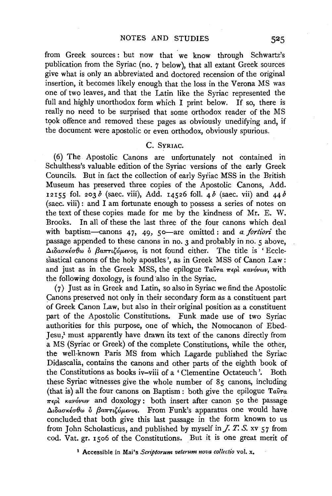from Greek sources: but now that we know through Schwartz's publication from the Syriac (no. *7* below), that all extant Greek sources give what is only an abbreviated and doctored recension of the original insertion, it becomes likely enough that the loss in the Verona MS was one of two leaves, and that the Latin like the Syriac represented the full and highly unorthodox form which I print below. If so, there is really no need to be surprised that some orthodox reader of the MS took offence and removed these pages as obviously unedifying and, if the document were apostolic or even orthodox, obviously spurious.

### c. SYRIAC.

(6) The Apostolic Canons are unfortunately not contained in Schulthess's valuable edition of the Syriac versions of the early Greek Councils. But in fact the collection of early Syiiac MSS in the British Museum has preserved three copies of the Apostolic Canons, Add. 12155 fol. 203  $\delta$  (saec. viii), Add. 14526 foll. 4  $\delta$  (saec. vii) and 44  $\delta$ ( saec. viii) : and I am fortunate enough to possess a series of notes on the text of these copies made for me by the kindness of Mr. E. W. Brooks. In all of these the last three of the four canons which deal with baptism-canons 47, 49, 50-are omitted: and *a. fortiori* the passage appended to these canons in no. 3 and probably in no. 5 above,  $\Delta$ ιδασκέσθω ο βαπτιζόμενος, is not found either. The title is ' Ecclesiastical canons of the holy apostles', as in Greek MSS of Canon Law: and just as in the Greek MSS, the epilogue *Taira*  $\pi \epsilon \rho \hat{i}$  *Kavóvwv*, with the following doxology, is found also in the Syriac.

( 7) Just as in Greek and Latin, so also in Syriac we find the Apostolic Canons preserved not only in their secondary form as a constituent part of Greek Canon Law, but also in their original position as a constituent part of the Apostolic Constitutions. Funk made use of two Syriac authorities for this purpose, one of which, the Nomocanon of Ebed-Jesu,1 must apparently have drawn its text of the canons directly from a MS (Syriac or Greek) of the complete Constitutions, while the other, the well-known Paris MS from which Lagarde published the Syriac Didascalia, contains the canons and other parts of the eighth book of the Constitutions as books iv-viii of a 'Clementine Octateuch '. Both these Syriac witnesses give the whole number of 85 canons, including (that is) all the four canons on Baptism: both give the epilogue *Taln-a*   $\pi\epsilon\rho\hat{i}$  *Kavóvwv* and doxology: both insert after canon 50 the passage  $\Delta$ ιδασκέσθω ο βαπτιζόμενος. From Funk's apparatus one would have concluded that both give this last passage in the form known to us from John Scholasticus, and published by myself in  $\overline{J}$ .  $\overline{J}$ .  $\overline{S}$ . xv  $\overline{57}$  from cod. Vat. gr. 1506 of the Constitutions. But it is one great merit of

<sup>1</sup> Accessible in Mai's *Scriptorum velerum nova collectio* vol. x.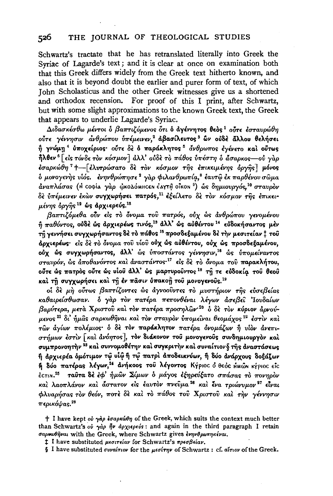#### 526 THE JOURNAL OF THEOLOGICAL STUDIES

Schwartz's tractate that he has retranslated literally into Greek the Syriac of Lagarde's text; and it is clear at once on examination both that this Greek differs widely from the Greek text hitherto known, and also that it is beyond doubt the earlier and purer form of text, of which John Scholasticus and the other Greek witnesses give us a shortened and orthodox recension. For proof of this I print, after Schwartz, but with some slight approximations to the known Greek text, the Greek that appears to underlie Lagarde's Syriac.

Διδασκέσθω μέντοι ο βαπτιζόμενος ότι ο αγέννητος θεος<sup>1</sup> ούτε έσταυρώθη ούτε γέννησιν ανθρώπου υπέμεινεν,<sup>2</sup> αβασίλευτος<sup>3</sup> ών ούδε άλλου θελήσει ή γνώμη<sup>4</sup> ύποχείριος· ούτε δε ό παράκλητος<sup>5</sup> άνθρωπος εγένετο και ούτως ήλθεν<sup> 6</sup> [είς τόνδε τον κόσμον] άλλ' ούδε το πάθος υπέστη ο άσαρκος- ού γαρ έσαρκώθη<sup>7</sup> +- [ελυτρώσατο δε τον κόσμον της επικειμένης όργης] μόνος δ μονογενής υίός. ενηνθρώπησε<sup>2</sup> γάρ φιλανθρωπία,<sup>8</sup> εαυτώ εκ παρθένου σώμα άναπλάσας (Η coφία γάρ ώκολόΜΗς εν έλγτη οΐκου<sup>9</sup>) ως δημιουργός,<sup>10</sup> σταυρόν δε υπέμεινεν έκων συγχωρήσει πατρός,<sup>11</sup> εξείλετο δε τον κόσμον της έπικειμένης όργης 12 ως άρχιερεύς. 18

βαπτιζόμεθα ούν είς το όνομα του πατρός, ούχ ως ανθρώπου γενομένου ή παθόντος, ούδε ώς άρχιερέως τινός,<sup>13</sup> άλλ' ώς αύθέντου<sup>14</sup> εύδοκήσαντος μεν τη γεννήσει συγχωρήσαντος δε το πάθος <sup>15</sup> προσδεξαμένου δε την μεσιτείαν <sup>†</sup> του άρχιερέως· είς δε το όνομα του υίου ούχ ώς αυθέντου, ούχ ώς προσδεξαμένου, ούχ ώς συγχωρήσαντος, άλλ' ώς υποστάντος γέννησιν,<sup>16</sup> ως υπομείναντος σταυρόν, ως αποθανόντος και αναστάντος<sup>-17</sup> είς δε το όνομα του παρακλήτου, ούτε ώς πατρός ούτε ώς υίου άλλ' ώς μαρτυρούντος <sup>18</sup> τη τε εύδοκία του θεού καί τη συγχωρήσει και τη έν πάσιν ύπακοή του μονογενούς.<sup>19</sup>

οί δε μη ούτως βαπτίζοντες ώς άγνοούντες το μυστήριον της εύσεβείας καθαιρείσθωσαν. δ γάρ τον πατέρα πεπονθέναι λέγων άσεβει Ιουδαίων βαρύτερα, μετά Χριστού και τον πατέρα προσηλών<sup>-20</sup> ο δε τον κύριον άρνούμενος <sup>21</sup> δι' ήμας σαρκωθήναι και τον σταυρον υπομείναι θεομάχος <sup>22</sup> έστιν και τών άγίων πολέμιος· ό δε τον παράκλητον πατέρα ονομάζων ή υίον άνεπιστήμων έστιν [και άνόητος], τον διάκονον του μονογενούς συνδημιουργόν και συμπρονοητήν <sup>23</sup> και συννομοθέτην και συγκριτήν και συναίτιον § της αναστάσεως ή αρχιερέα δμότιμον τώ υίώ ή τώ πατρί αποδεικνύων, ή δύο ανάρχους δοξάζων ή δύο πατέρας λέγων,<sup>24</sup> άνήκοος του λέγοντος Κγριος όθεος ΗΜώΝ κγριος είς έςτινι.<sup>25</sup> ταύτα δέ έφ' ήμών Σίμων ο μάγος εξηρεύξατο σπάσας το πονηρον και λαοπλάνον και άστατον είς έαυτον πνεύμα<sup>26</sup> και ένα τριώνυμον<sup>27</sup> είναι φλυαρήσας τον θεόν, ποτε δε και το πάθος του Χριστου και την γέννησιν  $π$ ερικόψας.<sup>28</sup>

<sup>†</sup> I have kept ov  $\gamma \dot{\alpha} \rho$  *igaps*  $\omega \theta \eta$  of the Greek, which suits the context much better than Schwartz's où  $\gamma a \rho \bar{p} \nu$   $d\rho \chi \nu \rho \epsilon \nu \delta$ : and again in the third paragraph I retain σαριωθήναι with the Greek, where Schwartz gives ενηνθρωπηκέναι.

<sup>1</sup> I have substituted μεσιτείαν for Schwartz's πρεσβείαν.

 $\S$  I have substituted συναίτιον for the μεσίτην of Schwartz: cf. αΐτιον of the Greek.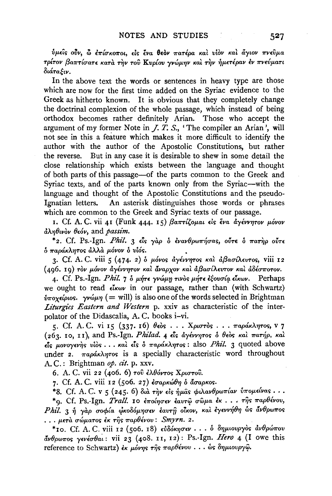ύμεις ούν, ω επίσκοποι, είς ένα θεόν πατέρα και υίον και άγιον πνεύμα τρίτον βαπτίσατε κατά την του Κυρίου γνώμην και την ήμετέραν εν πνεύματι διάταξιν.

In the above text the words or sentences in heavy type are those which are now for the first time added on the Syriac evidence to the Greek as hitherto known. It is obvious that they completely change the doctrinal complexion of the whole passage, which instead of being orthodox becomes rather definitely Arian. Those who accept the argument of my former Note in  $J.$   $\dot{T}$ . S., 'The compiler an Arian', will not see in this a feature which makes it more difficult to identify the author with the author of the Apostolic Constitutions, but rather the reverse. But in any case it is desirable to shew in some detail the close relationship which exists between the language and thought of both parts of this passage-of the parts common to the Greek and Syriac texts, and of the parts known only from the Syriac-with the language and thought of the Apostolic Constitutions and the pseudo-Ignatian letters. An asterisk distinguishes those words or phrases which are common to the Greek and Syriac texts of our passage.

1. Cf. A. C. vii 41 (Funk 444. 15) βαπτίζομαι είς ένα άγέννητον μόνον  $d\lambda\eta\theta\psi$ ov  $\theta\epsilon$ óv, and passim.

\*2. Cf. Ps.-Ign. Phil. 3 είς γάρ ο ενανθρωπήσας, ούτε ο πατήρ ούτε δ παράκλητος άλλα μόνον ο υίός.

3. Cf. A. C. viii 5 (474. 2) δ μόνος άγέννητος και άβασίλευτος, viii 12 (496. 19) τον μόνον άγέννητον και άναρχον και άβασίλευτον και άδέσποτον.

4. Cf. Ps.-Ign. Phil. 7 δ μήτε γνώμη τινός μήτε εξουσία είκων. Perhaps we ought to read  $\epsilon k\omega v$  in our passage, rather than (with Schwartz)  $\phi$ ποχείριος. γνώμη (= will) is also one of the words selected in Brightman Liturgies Eastern and Western p. xxiv as characteristic of the interpolator of the Didascalia, A.C. books i-vi.

5. Cf. A.C. vi 15 (337. 16) θεός ... Χριστός ... παράκλητος, v 7 (263. 10, 11), and Ps. Ign. Philad. 4 είς αγέννητος ο θεός και πατήρ, και  $\epsilon$ ις μονογενής υίος ... και είς ο παράκλητος: also *Phil.* 3 quoted above under 2.  $\pi a \rho \Delta \eta \tau$ os is a specially characteristic word throughout A.C.: Brightman op. cit. p. xxv.

6. A. C. vii 22 (406. 6) του ελθόντος Χριστου.

7. Cf. A. C. viii 12 (506. 27) εσαρκώθη δ άσαρκος.

\*8. Cf. A. C. v 5 (245. 6) διά την είς ήμας φιλανθρωπίαν υπομείνας...

\*9. Cf. Ps.-Ign. Trall. 10 εποίησεν έαυτώ σώμα έκ... της παρθένου, Phil. 3 ή γαρ σοφία φκοδόμησεν έαυτη οίκον, και έγεννήθη ως άνθρωπος  $\ldots$  μετά σώματος έκ της παρθένου: Smyrn. 2.

\*10. Cf. A. C. viii 12 (506. 18) εύδόκησεν . . . δ δημιουργός ανθρώπου άνθρωπος γενέσθαι: vii 23 (408. 11, 12): Ps. Ign. Hero 4 (I owe this reference to Schwartz) εκ μόνης της παρθένου... ώς δημιουργώ.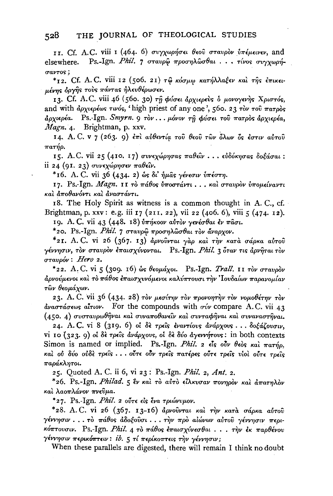11. Cf. A.C. viii 1 (464. 6) συγχωρήσει θεού σταυρον υπέμεινεν, and Ps.-Ign. Phil. 7 σταυρώ προσηλώσθαι... τίνος συγγωρήelsewhere. *Gavros*:

\*12. Cf. A.C. viii 12 (506. 21) τω κόσμω κατήλλαξεν και της έπικειμένης όργης τους πάντας ήλευθέρωσεν.

13. Cf. A.C. viii 46 (560. 30) τη φύσει άρχιερεύς ο μονογενής Χριστός, and with αρχιερέως τινός, 'high priest of any one', 560. 23 τον του πατρός άρχιερέα. Ps.-Ign. Smyrn. 9 τον ... μόνον τη φύσει του πατρος άρχιερέα, Magn. 4. Brightman, p. xxv.

14. Α. C. v 7 (263. 9) επι αύθεντία του θεου των όλων ός εστιν αύτου  $\pi$ arno.

15. A.C. vii 25 (410. 17) συνεχώρησας παθείν... εύδόκησας δοξάσαι: ii 24 (91. 23) συνεχώρησεν παθείν.

\*16. A. C. vii 36 (434. 2) ως δι' ήμας γένεσιν υπέστη.

17. Ps.-Ign. Magn. 11 το πάθος ύποστάντι... και σταυρον ύπομείναντι καὶ ἀποθανόντι καὶ ἀναστάντι.

18. The Holy Spirit as witness is a common thought in A.C., cf. Brightman, p. xxv: e.g. iii 17 (211. 22), vii 22 (406. 6), viii 5 (474. 12).

19. A.C. vii 43 (448. 18) υπήκοον αυτον γενέσθαι έν πάσι.

\*20. Ps.-Ign. Phil. 7 σταυρώ προσηλώσθαι τον άναρχον.

\*21. A.C. vi 26 (367. 13) άρνούνται γάρ και την κατά σάρκα αύτου γέννησιν, τον σταυρόν έπαισχύνονται. Ps.-Ign. Phil. 3 όταν τις άρνηται τον  $\sigma$ ταυρόν: Hero 2.

\*22. A.C. vi 5 (309. 16) ως θεομάχοι. Ps.-Ign. Trall. 11 τον σταυρόν άρνούμενοι καὶ τὸ πάθος ἐπαισχυνόμενοι καλύπτουσι τὴν Ἰουδαίων παρανομίαν τῶν θεομάχων.

23. A. C. vii 36 (434. 28) τον μεσίτην τον προνοητήν τον νομοθέτην τον  $\frac{\partial u}{\partial x}$   $\frac{\partial u}{\partial y}$   $\frac{\partial u}{\partial x}$  and  $\frac{\partial u}{\partial y}$  for the compounds with  $\sigma \psi$  compare A.C. vii 43 (450. 4) συσταυρωθήναι καί συναποθανείν καί συνταφήναι καί συναναστήναι.

24. A.C. vi 8 (319. 6) oi δε τρείς εναντίους ανάρχους... δοξάζουσιν, vi 10 (323. 9) oi δε τρείς άνάρχους, oi δε δύο άγεννήτους: in both contexts Simon is named or implied. Ps.-Ign. Phil. 2  $\epsilon$ is oiv θεός και πατήρ, καὶ οὐ δύο οὐδὲ τρεῖς... οὖτε οὖν τρεῖς πατέρες οὖτε τρεῖς νἱοὶ οὖτε τρεῖς παράκλητοι.

25. Quoted A. C. ii 6, vi 23: Ps. Ign. Phil. 2, Ant. 2.

\*26. Ps.-Ign. Philad. 5 εν και το αύτο είλκυσαν πονηρον και απατηλον καὶ λαοπλάνον πνεῦμα.

\*27. Ps.-Ign. Phil. 2 ούτε είς ένα τριώνυμον.

\*28. A.C. vi 26 (367. 13-16) άρνουνται και την κατά σάρκα αύτου γέννησιν...το πάθος άδοξούσι... την προ αίώνων αύτου γέννησιν περικόπτουσιν. Ps.-Ign. Phil. 4 το πάθος έπαισχύνεσθαι... την έκ παρθένου γέννησιν περικό<del>πτ</del>ειν: ib. 5 τί περίκοπτεις τὴν γέννησιν;

When these parallels are digested, there will remain I think no doubt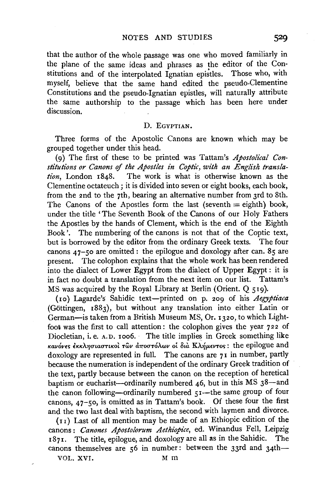that the author of the whole passage was one who moved familiarly in the plane of the same ideas and phrases as the editor of the Constitutions and of the interpolated Ignatian epistles. Those who, with myself, believe that the same hand edited the pseudo-Clementine Constitutions and the pseudo-Ignatian epistles, will naturally attribute the same authorship to the passage which has been here under discussion.

#### D. EGYPTIAN.

Three forms of the Apostolic Canons are known which may be grouped together under this head.

(9) The first of these to be printed was Tattam's *Apostolical Con*stitutions or Canons of the Apostles in Coptic, with an *English translation,* London 1848. The work is what is otherwise known as the Clementine octateuch; it is divided into seven or eight books, each book, from the 2nd to the 7th, bearing an alternative number from 3rd to 8th. The Canons of the Apostles form the last (seventh  $=$  eighth) book, under the title 'The Seventh Book of the Canons of our Holy Fathers the Apostles by the hands of Clement, which is the end of the Eighth Book'. The numbering of the canons is not that of the Coptic text, but is borrowed by the editor from the ordinary Greek texts. The four canons  $47 - 50$  are omitted : the epilogue and doxology after can.  $85$  are present. The colophon explains that the whole work has been rendered into the dialect of Lower Egypt from the dialect of Upper Egypt : it is in fact no doubt a translation from the next item on our list. Tattam's MS was acquired by the Royal Library at Berlin (Orient. Q 519).

(10) Lagarde's Sahidic text-printed on p. 209 of his *Aegyptiaca*  (Gottingen, 1883), but without any translation into either Latin or German-is taken from a British Museum MS, Or. 1320, to which Lightfoot was the first to call attention: the colophon gives the year 722 of Diocletian, i. e. A.D. 1006. The title implies in Greek something like Kανόνες έκκλησιαστικοί των αποστόλων οι δια Κλήμεντος: the epilogue and doxology are represented in full. The canons are  $7<sub>I</sub>$  in number, partly because the numeration is independent of the ordinary Greek tradition of the text, partly because between the canon on the reception of heretical baptism or eucharist--ordinarily numbered  $46$ , but in this MS  $38$ -and the canon following-ordinarily numbered  $51$ -the same group of four canons,  $47-50$ , is omitted as in Tattam's book. Of these four the first and the two last deal with baptism, the second with laymen and divorce.

(11) Last of all mention may be made of an Ethiopic edition of the canons: *Canones Apostolorum Aethiopice*, ed. Winandus Fell, Leipzig 1871. The title, epilogue, and doxology are all as in the Sahidic. The canons themselves are 56 in number: between the 33rd and 34th-

VOL. XVI. Mm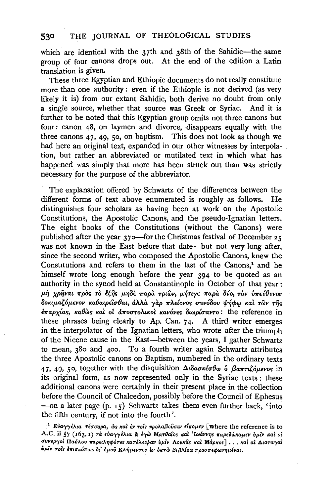#### THE JOURNAL OF THEOLOGICAL STUDIES 530

which are identical with the 37th and 38th of the Sahidic-the same group of four canons drops out. At the end of the edition a Latin translation is given.

These three Egyptian and Ethiopic documents do not really constitute more than one authority: even if the Ethiopic is not derived (as very likely it is) from our extant Sahidic, both derive no doubt from only a single source, whether that source was Greek or Syriac. And it is further to be noted that this Egyptian group omits not three canons but four: canon 48, on laymen and divorce, disappears equally with the three canons  $47, 49, 50$ , on baptism. This does not look as though we had here an original text, expanded in our other witnesses by interpolation, but rather an abbreviated or mutilated text in which what has happened was simply that more has been struck out than was strictly necessary for the purpose of the abbreviator.

The explanation offered by Schwartz of the differences between the different forms of text above enumerated is roughly as follows. He distinguishes four scholars as having been at work on the Apostolic Constitutions, the Apostolic Canons, and the pseudo-Ignatian letters. The eight books of the Constitutions (without the Canons) were published after the year  $370$ —for the Christmas festival of December 25 was not known in the East before that date—but not very long after, since the second writer, who composed the Apostolic Canons, knew the Constitutions and refers to them in the last of the Canons,<sup>1</sup> and he himself wrote long enough before the year 394 to be quoted as an authority in the synod held at Constantinople in October of that year: μή χρήναι πρός το έξης μηδε παρά τριών, μήτιγε παρά δύο, τον ύπεύθυνον δοκιμαζόμενον καθαιρείσθαι, άλλα γαρ πλείονος συνόδου ψήφω και των της  $\epsilon \pi \alpha$ ρχίας, καθώς και οι άποστολικοι κανόνες διωρίσαντο: the reference in these phrases being clearly to Ap. Can. 74. A third writer emerges in the interpolator of the Ignatian letters, who wrote after the triumph of the Nicene cause in the East—between the years, I gather Schwartz to mean, 380 and 400. To a fourth writer again Schwartz attributes the three Apostolic canons on Baptism, numbered in the ordinary texts 47, 49, 50, together with the disquisition  $\Delta \iota \delta \alpha \sigma \kappa \iota \sigma \theta \omega$   $\delta$   $\beta \alpha \pi \tau \iota \zeta \iota \mu \iota \nu \sigma \varsigma$  in its original form, as now represented only in the Syriac texts: these additional canons were certainly in their present place in the collection before the Council of Chalcedon, possibly before the Council of Ephesus -on a later page  $(p. 15)$  Schwartz takes them even further back, 'into the fifth century, if not into the fourth'.

<sup>&</sup>lt;sup>1</sup> Εύαγγέλια τέσσαρα, ώς και έν τοις προλαβούσιν είπομεν [where the reference is to A.C. ii 57 (163.1) τα εύαγγέλια α έγω Ματθαΐοs και 'Ιωάννηs παρεδώκαμεν ύμιν και οι συνεργοί Παύλου παρειληφότες κατέλειψαν ύμιν Λουκάς και Μάρκος]... και αί Διαταγαι ύμιν τοίς έπισκόποις δι' έμου Κλήμεντος έν όκτὼ βιβλίοις προσπεφωνημέναι.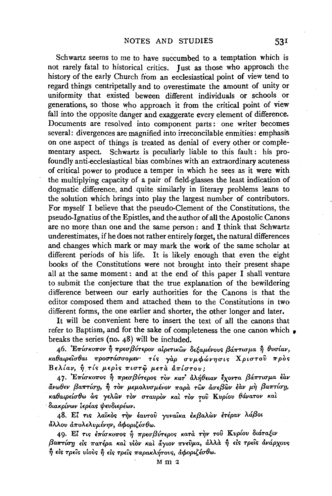Schwartz seems to me to have succumbed to a temptation which is not rarely fatal to historical critics. Just as those who approach the history of the early Church from an ecclesiastical point of view tend to regard things centripetally and to overestimate the amount of unity or uniformity that existed beween different individuals or schools or generations, so those who approach it from the critical point of view fall into the opposite danger and exaggerate every element of difference. Documents are resolved into component parts: one writer becomes several: divergences are magnified into irreconcilable enmities: emphasis on one aspect of things is treated as denial of every other or complementary aspect. Schwartz is peculiarly liable to this fault: his profoundly anti-ecclesiastical bias combines with an extraordinary acuteness of critical power to produce a temper in which he sees as it were with the multiplying capacity of a pair of field-glasses the least indication of dogmatic difference, and quite similarly in literary problems leans to the solution which brings into play the largest number of contributors. For myself I believe that the pseudo-Clement of the Constitutions, the pseudo-Ignatius of the Epistles, and the author of all the Apostolic Canons are no more than one and the same person: and I think that Schwartz underestimates, if he does not rather entirely forget, the natural differences and changes which mark or may mark the work of the same scholar at different periods of his life. It is likely enough that even the eight books of the Constitutions were not brought into their present shape all at the same moment: and at the end of this paper I shall venture to submit the conjecture that the true explanation of the bewildering difference between our early authorities for the Canons is that the editor composed them and attached them to the Constitutions in two different forms, the one earlier and shorter, the other longer and later.

It will be convenient here to insert the text of all the canons that refer to Baptism, and for the sake of completeness the one canon which • breaks the series (no. 48) will be included.

 $46.$  *Επίσκοπον ή πρεσβύτερον αίρετικων δεξαμένους βάπτισμα η θυσίαν, Ka8aip£'trr8ai ?rpo<rrarrrroµ&·* 'rts *yap rrvµcpifiv'r}rris XpirrTov* ?rpOs  $B\epsilon\lambda$ *iav,*  $\hat{\eta}$  *ris μερ*ίς πιστώ μετα απίστου:

47. Επίσκοπος ή πρεσβύτερος τον κατ' άλήθειαν έχοντα βάπτισμα έαν *<l.vw8£V /3a?rTfo-y,* ~ *TOv* p.£µo,\vrrµl~ov *?rapa Twv &.rr£{3wv £av µT, /3a?rTfo71,*  () *Ka* I () ' ,\~ ' ' ' ' ~ K I () I ' *aipnu W WS 'Y£ WV TOV <rravpov Kai TOV* rov *vpiov aVaTOV Kai*  · *8w.Kp{vwv t£plas iftw8i£plwv.* 

48. Εί τις λαϊκός την έαυτού γυναίκα έκβαλών έτέραν λάβοι  $\delta\lambda\lambda$ ου  $\delta\pi$ ολελυμένην,  $\delta\phi$ οριζέσθω.

49. Εί τις επίσκοπος η πρεσβύτερος κατά την του Κυρίου διάταξιν  $\beta$ a**πτίση** είς πατέρα και υίον και άγιον πνεύμα, άλλα ή είς τρείς ανάρχους  $n \rightarrow$  είς τρείς νίους ή είς τρείς παρακλήτους, αφοριζέσθω.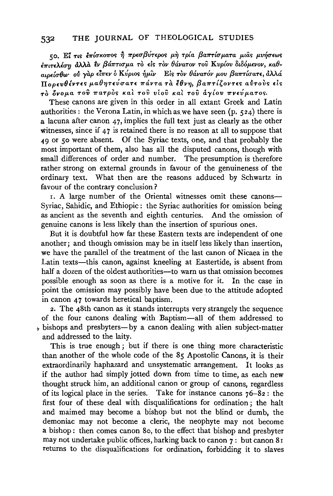#### THE IOURNAL OF THEOLOGICAL STUDIES 532

50. Εί τις επίσκοπος ή πρεσβύτερος μη τρία βαπτίσματα μιας μυήσεως έπιτελέση άλλα εν βάπτισμα το είς τον θάνατον του Κυρίου διδόμενον, καθαιρείσθω" ού γαρ είπεν ο Κύριος ήμιν Είς τον θάνατόν μου βαπτίσατε, άλλά  $\overline{\Pi}$ ρρευθέντες μαθητεύσατε πάντα τα έθνη, βαπτίζοντες αυτούς είς τό όνομα του πατρός και του νίου και του άγίου πνεύματος.

These canons are given in this order in all extant Greek and Latin authorities : the Verona Latin, in which as we have seen  $(p, 524)$  there is a lacuna after canon  $47$ , implies the full text just as clearly as the other witnesses, since if  $47$  is retained there is no reason at all to suppose that 40 or 50 were absent. Of the Syriac texts, one, and that probably the most important of them, also has all the disputed canons, though with small differences of order and number. The presumption is therefore rather strong on external grounds in favour of the genuineness of the ordinary text. What then are the reasons adduced by Schwartz in favour of the contrary conclusion?

1. A large number of the Oriental witnesses omit these canons-Syriac, Sahidic, and Ethiopic: the Syriac authorities for omission being as ancient as the seventh and eighth centuries. And the omission of genuine canons is less likely than the insertion of spurious ones.

But it is doubtful how far these Eastern texts are independent of one another; and though omission may be in itself less likely than insertion, we have the parallel of the treatment of the last canon of Nicaea in the Latin texts—this canon, against kneeling at Eastertide, is absent from half a dozen of the oldest authorities-to warn us that omission becomes possible enough as soon as there is a motive for it. In the case in point the omission may possibly have been due to the attitude adopted in canon 47 towards heretical baptism.

2. The 48th canon as it stands interrupts very strangely the sequence of the four canons dealing with Baptism-all of them addressed to bishops and presbyters—by a canon dealing with alien subject-matter and addressed to the laity.

This is true enough; but if there is one thing more characteristic than another of the whole code of the 85 Apostolic Canons, it is their extraordinarily haphazard and unsystematic arrangement. It looks as if the author had simply jotted down from time to time, as each new thought struck him, an additional canon or group of canons, regardless of its logical place in the series. Take for instance canons  $76-\overline{8}2$ : the first four of these deal with disqualifications for ordination; the halt and maimed may become a bishop but not the blind or dumb, the demoniac may not become a cleric, the neophyte may not become a bishop: then comes canon 80, to the effect that bishop and presbyter may not undertake public offices, harking back to canon 7: but canon 81 returns to the disqualifications for ordination, forbidding it to slaves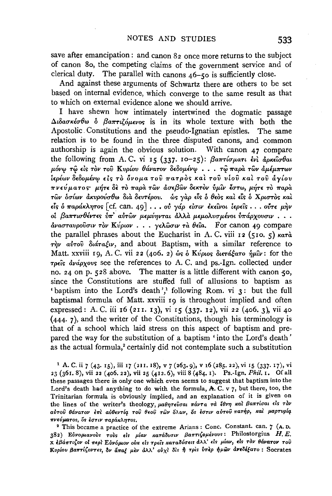save after emancipation: and canon 82 once more returns to the subject of canon 80, the competing claims of the government service and of clerical duty. The parallel with canons 46-50 is sufficiently close.

And against these arguments of Schwartz there are others to be set based on internal evidence, which converge to the same result as that to which on external evidence alone we should arrive.

I have shewn how intimately intertwined the dogmatic passage  $\Delta \iota \delta a \sigma \kappa \iota \sigma \theta \omega$  of  $\beta a \pi \tau \iota \zeta \iota \mu \iota \nu \sigma s$  is in its whole texture with both the Apostolic Constitutions and the pseudo-Ignatian epistles. The same relation is to be found in the three disputed canons, and common authorship is again the obvious solution. With canon 47 compare the following from A.C. vi 15 (337. 10-25):  $\beta$ antiouart ενί άρκεισθαι μόνω τω είς τον του Κυρίου θάνατον δεδομένω... τω παρα των αμέμπτων ίερέων δεδομένω είς τὸ ὄνομα τοῦ πατρὸς καὶ τοῦ νίοῦ καὶ τοῦ ἀγίου πνεύματος μήτε δε το παρα των ασεβών δεκτον ύμιν έστω, μήτε το παρα των όσίων άκυρούσθω δια δευτέρου. ώς γαρ είς ό θεος και είς ό Χριστος και είς ο παράκλητος [cf. can. 49]... ού γάρ είσιν εκείνοι ίερείς... ούτε μήν οι βαπτισθέντες υπ' αυτών μεμύηνται άλλα μεμολυσμένοι υπάρχουσιν...  $\frac{\partial}{\partial y}$ ασταυρούσιν τον Κύριον... γελώσιν τα θεία. For canon 49 compare the parallel phrases about the Eucharist in A.C. viii 12 (510. 5)  $\kappa a \tau \dot{a}$  $\tau \hat{m}$   $\hat{v}$   $\hat{v}$   $\hat{v}$   $\hat{v}$   $\hat{v}$   $\hat{v}$  and about Baptism, with a similar reference to Matt. xxviii 19, A.C. vii 22 (406. 2) ως ο Κύριος διετάξατο ήμιν: for the τρείς άνάρχους see the references to A.C. and ps.-Ign. collected under no. 24 on p. 528 above. The matter is a little different with canon 50, since the Constitutions are stuffed full of allusions to baptism as 'baptism into the Lord's death',' following Rom. vi 3: but the full baptismal formula of Matt. xxviii 19 is throughout implied and often expressed: A. C. iii 16 (211. 13), vi 15 (337. 12), vii 22 (406. 3), vii 40  $(444.7)$ , and the writer of the Constitutions, though his terminology is that of a school which laid stress on this aspect of baptism and prepared the way for the substitution of a baptism 'into the Lord's death' as the actual formula,<sup>2</sup> certainly did not contemplate such a substitution

<sup>1</sup> A. C. ii 7 (43. 15), iii 17 (211. 18), v 7 (263. 9), v 16 (285. 22), vi 15 (337. 17), vi 23 (361, 8), vii 22 (406, 22), vii 25 (412, 6), viii 8 (484, 1). Ps. Ign. Phil. 1. Of all these passages there is only one which even seems to suggest that baptism into the Lord's death had anything to do with the formula, A. C. v 7, but there, too, the Trinitarian formula is obviously implied, and an explanation of it is given on the lines of the writer's theology, μαθητεύσαι πάντα τα έθνη και βαπτίσαι είς τον αύτου θάνατον έπι αύθεντία του θεου των όλων, ός έστιν αύτου πατήρ, και μαρτυρία πνεύματος, ός έστιν παράκλητος.

<sup>2</sup> This became a practice of the extreme Arians: Conc. Constant. can. 7 (A.D. 382) Εύνομιανούς τούς είς μίαν κατάδυσιν βαπτιζομένους: Philostorgius H.E. x εβάπτιζον οί περί Εύνόμιον ούκ είς τρείς καταδύσεις άλλ' είς μίαν, είς τον θάνατον του Κυρίου βαπτίζοντες, δν άπαζ μεν άλλ' ούχι δις ή τρις υπερ ήμων ανεδέξατο: Socrates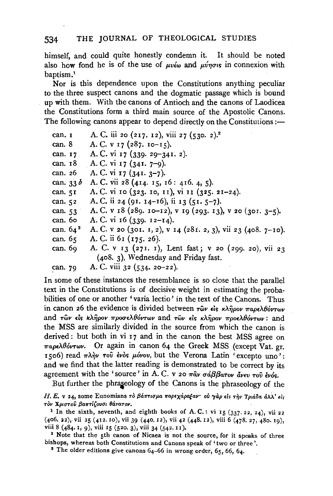himself, and could quite honestly condemn it. It should be noted also how fond he is of the use of  $u\nu\omega$  and  $u\nu\omega$  in connexion with baptism.<sup>1</sup>

Nor is this dependence upon the Constitutions anything peculiar to the three suspect canons and the dogmatic passage which is bound up with them. With the canons of Antioch and the canons of Laodicea the Constitutions form a third main source of the Apostolic Canons. The following canons appear to depend directly on the Constitutions:—

| can. I      | A. C. iii 20 (217. 12), viii 27 (530. 2). <sup>2</sup>        |
|-------------|---------------------------------------------------------------|
| can. 8      | A. C. v 17 (287. 10–15).                                      |
| can. 17     | A. C. vi 17 (339. 29–341. 2).                                 |
| can. 18     | A. C. vi 17 (341. 7-9).                                       |
| can. 26     | A. C. vi 17 $(341.3-7)$ .                                     |
| can. $33b$  | A. C. vii 28 (414. 15, 16: 416. 4, 5).                        |
| can. 51     | A. C. vi 10 (323. 10, 11), vi 11 (325. 21-24).                |
| can. $52$   | A, C, ii 24 (91. 14-16), ii 13 (51. 5-7).                     |
| can. 53     | A. C. v 18 (289. 10-12), v 19 (293. 13), v 20 (301. 3-5).     |
| can. 60     | A. C. vi $16$ (339. $12-I4$ ).                                |
| can. $64^3$ | A. C. v 20 (301. 1, 2), v 14 (281. 2, 3), vii 23 (408. 7-10). |
| can. 65     | A. C. ii 61 (175. 26).                                        |
| can. 69.    | A. C. v 13 (271. 1), Lent fast; v 20 (299. 20), vii 23        |
|             | (408. 3), Wednesday and Friday fast.                          |
| can. 79     | A. C. viii 32 (534. 20–22).                                   |
|             |                                                               |

In some of these instances the resemblance is so close that the parallel text in the Constitutions is of decisive weight in estimating the probabilities of one or another 'varia lectio' in the text of the Canons. Thus in canon 26 the evidence is divided between  $\tau \hat{\omega} v$  *E*ig  $\kappa \lambda \hat{\eta} \rho \omega \nu \pi \alpha \rho \epsilon \lambda \theta \omega \tau \omega \nu$ and *τ*ων είς κλήρον προσελθόντων and των είς κλήρον προελθόντων: and the MSS are similarly divided in the source from which the canon is derived: but both in vi 17 and in the canon the best MSS agree on *π*αρελθόντων. Or again in canon 64 the Greek MSS (except Vat. gr. 1506) read  $\pi\lambda\dot{\eta}\nu$  rov *ένος μόνου*, but the Verona Latin 'excepto uno': and we find that the latter reading is demonstrated to be correct by its agreement with the 'source' in A. C. v 20  $\pi \hat{a} \nu$   $\sigma \hat{a} \beta \beta a \tau_{0} \nu \hat{a} \nu \tau_{0} \hat{v}$  *ένός.* 

But further the phraseology of the Canons is the phraseology of the H. E. v 24, some Eunomians τὸ βάπτισμα παρεχάραξαν· οὐ γὰρ είs τὴν Τριάδα ἀλλ<sup>·</sup> είς *TOV XptCTTov {3a1TT[,ovcri 116.vaTDv.* 

<sup>1</sup> In the sixth, seventh, and eighth books of A.C.: vi 15 (337. 22, 24), vii 22 (406. n), vii 25 (412. lo), vii 39 (440. 12), vii 42 (448.12), viii 6 (478. 27, 480. 19), viii 8 (484. 1, 9), viii 15 (520. 3), viii 34 (542. 11).

<sup>2</sup> Note that the 5th canon of Nicaea is not the source, for it speaks of three bishops, whereas both Constitutions and Canons speak of 'two or three'.<br><sup>8</sup> The older editions give canons 64-66 in wrong order, 65, 66, 64.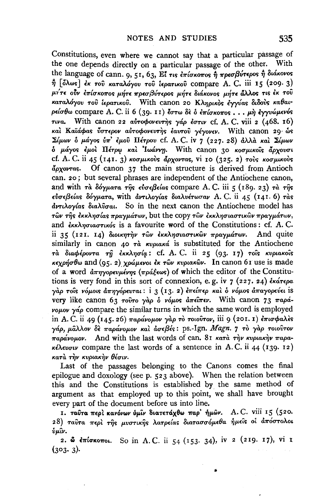Constitutions, even where we cannot say that a particular passage of the one depends directly on a particular passage of the other. With the language of cann. 9, 51, 63, Εί τις επίσκοπος ή πρεσβύτερος ή διάκονος  $η$  [δλως] έκ του καταλόγου του ιερατικού compare A. C. iii 15 (209. 3) μήτε ούν επίσκοπος μήτε πρεσβύτερος μήτε διάκονος μήτε άλλος τις έκ του καταλόγου του ίερατικού. With canon 20 Κληρικός έγγύας διδούς καθαιρείσθω compare A. C. ii 6 (39. 11) έστω δε ο επίσκοπος... μη εγγυώμενός τινα. With canon 22 αυτοφονευτής γάρ έστιν cf. A. C. viii 2 (468. 16) και Καϊάφας ύστερον αυτοφονευτης έαυτου γέγονεν. With canon 29 ως Σίμων δ μάγος υπ' έμου Πέτρου cf. A. C. iv 7 (227. 28) άλλα και Σίμων δ μάγος έμοι Πέτρω και Ιωάννη. With canon 30 κοσμικοίς άρχουσι cf. A. C. ii 45 (141. 3) κοσμικούς άρχοντας, vi 10 (325. 2) τούς κοσμικούς dovorras. Of canon 37 the main structure is derived from Antioch can. 20; but several phrases are independent of the Antiochene canon, and with τα δόγματα της εύσεβείας compare A.C. iii 5 (189. 23) τα της εύσεβείας δόγματα, with αντιλογίας διαλυέτωσαν Α. C. ii 45 (141. 6) τας  $\frac{d}{dx}$   $\frac{d}{dx}$   $\frac{d}{dx}$   $\frac{d}{dx}$   $\frac{d}{dx}$   $\frac{d}{dx}$   $\frac{d}{dx}$   $\frac{d}{dx}$   $\frac{d}{dx}$   $\frac{d}{dx}$   $\frac{d}{dx}$   $\frac{d}{dx}$   $\frac{d}{dx}$   $\frac{d}{dx}$   $\frac{d}{dx}$   $\frac{d}{dx}$   $\frac{d}{dx}$   $\frac{d}{dx}$   $\frac{d}{dx}$   $\frac{d}{dx}$   $\frac{d}{dx}$   $\frac{d}{dx}$  των της εκκλησίας πραγμάτων, but the copy των εκκλησιαστικών πραγμάτων, and εκκλησιαστικός is a favourite word of the Constitutions: cf. A.C. ii 35 (121. 14) διοικητήν των εκκλησιαστικών πραγμάτων. And quite similarly in canon 40  $\tau \dot{a}$  *Kvplaká* is substituted for the Antiochene τα διαφέροντα τη εκκλησία: cf. A. C. ii 25 (93. 17) τοίς κυριακοίς κεχρήσθω and (95.2) χρώμενοι έκ των κυριακών. In canon 61 use is made of a word  $\frac{\partial \pi}{\partial y}$  word  $\frac{\partial \pi}{\partial y}$  which the editor of the Constitutions is very fond in this sort of connexion, e.g. iv  $7$  (227. 24) εκάτερα γάρ τους νόμοις άπηγόρευται: i 3 (13. 2) επείπερ και ο νόμος άπαγορεύει is very like canon 63 τούτο γάρ ο νόμος άπειπεν. With canon 73 παράvouov  $\gamma a \rho$  compare the similar turns in which the same word is employed in A.C. ii 49 (145.26) παράνομον γάρ το τοιούτον, iii 9 (201.1) επισφαλές γάρ, μάλλον δε παράνομον και άσεβές: ps.-Ign. Magn. 7 το γαρ τοιούτον παράνομον. And with the last words of can. 81 κατά την κυριακήν παρακέλευσιν compare the last words of a sentence in A.C. ii 44 (139. 12) κατά την κυριακήν θέσιν.

Last of the passages belonging to the Canons comes the final epilogue and doxology (see p. 523 above). When the relation between this and the Constitutions is established by the same method of argument as that employed up to this point, we shall have brought every part of the document before us into line.

1. ταύτα περί κανόνων ύμιν διατετάχθω παρ' ήμων. A.C. viii 15 (520. 28) ταύτα περί της μυστικής λατρείας διατασσόμεθα ήμεις οι άπόστολοι ύμῖν.

2. Φ επίσκοποι. So in A.C. ii 54 (153. 34), iv 2 (219. 17), vi 1  $(303.3)$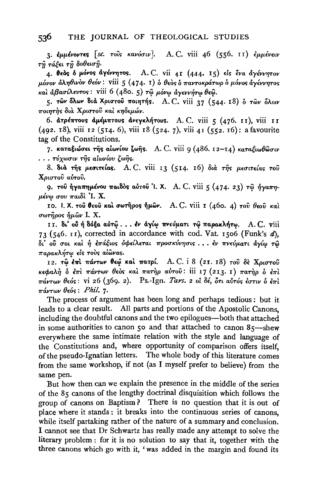3. εμμένοντες [sc. τοίς κανόσιν]. A.C. viii 46 (556. 11) εμμένειν τῆ τάξει τῆ δοθεισῆ.

4. θέδς δ μόνος άγέννητος. A.C. vii 41 (444. 15) είς ένα άγέννητον μόνον άληθινον θεόν: viii 5 (474. 1) ο θεός ο παντοκράτωρ ο μόνος άγέννητος και άβασίλευτος: viii 6 (480. 5) τω μόνω αγεννήτω θεώ.

5. των δλων διά Χριστού ποιητής. Α. C. viii 37 (544. 18) ο των δλων ποιητής διά Χριστού και κηδεμών.

6. άτρέπτους αμέμπτους ανεγκλήτους. A.C. viii 5 (476. 11), viii 11 (492. 18), viii 12 (514. 6), viii 18 (524. 7), viii 41 (552. 16): a favourite tag of the Constitutions.

7. καταξιώσει της αίωνίου ζωής. A. C. viii 9 (486. 12-14) καταξιωθώσιν . . . τύχωσιν τῆς αἰωνίου ζωῆς.

8. διά της μεσιτείας. A.C. viii 13 (514. 16) διά της μεσιτείας τού Χριστού αύτου.

9. του ήγαπημένου παιδός αύτου 'Ι. Χ. A. C. viii 5 (474. 23) τω ήγαπη- $\mu$ ένω σου παιδί 'I. X.

10. 1. Χ. του θεού και σωτήρος ήμων. A. C. viii 1 (460. 4) του θεού και σωτήρος ήμὣν Ι. Χ.

ττ. δι' ού ή δόξα αὐτῷ... εν άγίω πνεύματι τῷ παρακλήτω. A.C. viii 73 (546. II), corrected in accordance with cod. Vat. 1506 (Funk's d), δι' ού σοι και ή επάξιος οφείλεται προσκύνησις... εν πνεύματι άγίω τώ παρακλήτω είς τους αίωνας.

12. τω έπι πάντων θεω και πατρί. A.C. i 8 (21. 18) του δε Χριστου κεφαλή δ έπι πάντων θεός και πατήρ αύτου: iii 17 (213. 1) πατήρ δ έπι πάντων θεός: vi 26 (369. 2). Ps.-Ign. Tars. 2 οι δέ, ότι αυτός έστιν δ έπι  $π$ άντων θεός: Phil. 7.

The process of argument has been long and perhaps tedious: but it leads to a clear result. All parts and portions of the Apostolic Canons. including the doubtful canons and the two epilogues-both that attached in some authorities to canon 50 and that attached to canon 85-shew everywhere the same intimate relation with the style and language of the Constitutions and, where opportunity of comparison offers itself, of the pseudo-Ignatian letters. The whole body of this literature comes from the same workshop, if not (as I myself prefer to believe) from the same pen.

But how then can we explain the presence in the middle of the series of the 85 canons of the lengthy doctrinal disquisition which follows the group of canons on Baptism? There is no question that it is out of place where it stands: it breaks into the continuous series of canons, while itself partaking rather of the nature of a summary and conclusion. I cannot see that Dr Schwartz has really made any attempt to solve the literary problem: for it is no solution to say that it, together with the three canons which go with it, 'was added in the margin and found its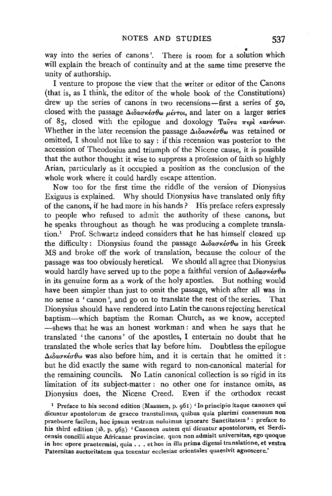way into the series of canons'. There is room for a solution which will explain the breach of continuity and at the same time preserve the unity of authorship.

I venture to propose the view that the writer or editor of the Canons (that is, as I think, the editor of the whole book of the Constitutions) drew up the series of canons in two recensions-first a series of 50, closed with the passage  $\Delta \iota \delta a \sigma \kappa \iota \sigma \theta \omega$   $\mu \iota \nu \tau \iota \iota$ , and later on a larger series of 85, closed with the epilogue and doxology Ταύτα περί κανόνων. Whether in the later recension the passage  $\Delta \iota \delta a \sigma \kappa \iota \sigma \theta \omega$  was retained or omitted, I should not like to say : if this recension was posterior to the accession of Theodosius and triumph of the Nicene cause, it is possible that the author thought it wise to suppress a profession of faith so highly Arian, particularly as it occupied a position as the conclusion of the whole work where it could hardly escape attention.

Now too for the first time the riddle of the version of Dionysius Exiguus is explained. Why should Dionysius have translated only fifty of the canons, if he had more in his hands ? His preface refers expressly to people who refused to admit the authority of these canons, but he speaks throughout as though he was producing a complete transla- $\lim_{h \to 0}$  Prof. Schwartz indeed considers that he has himself cleared up the difficulty: Dionysius found the passage  $\Delta \iota \delta a \sigma \kappa \iota \sigma \theta \omega$  in his Greek MS and broke off the work of translation, because the colour of the passage was too obviously heretical. We should all agree that Dionysius would hardly have served up to the pope a faithful version of  $\Delta \iota \delta a \sigma \kappa \iota \sigma \theta \omega$ in its genuine form as a work of the holy apostles. But nothing would have been simpler than just to omit the passage, which after all was in no sense a ' canon ', and go on to translate the rest of the series. That Dionysius should have rendered into Latin the canons rejecting heretical baptism-which baptism the Roman Church, as we know, accepted -shews that he was an honest workman: and when he says that he translated ' the canons ' of the apostles, I entertain no doubt that he translated the whole series that lay before him. Doubtless the epilogue  $\Delta \iota \delta a \sigma \kappa \iota \sigma \theta \omega$  was also before him, and it is certain that he omitted it: but he did exactly the same with regard to non-canonical material for the remaining councils. No Latin canonical collection is so rigid in its limitation of its subject-matter : no other one for instance omits, as Dionysius does, the Nicene Creed. Even if the orthodox recast

1 Preface to his second edition (Maassen, p. 961) 'In principio itaque canones qui dicuntur apostolorum de graeco transtulimus, quibus quia plurimi consensum non praebuere facilem, hoe ipsum vestram noluimus ignorare Sanctitatem' : preface to his third edition (ib. p. 965) 'Canones autem qui dicuntur apostolorum, et Serdicensis concilii atque Africanae provinciae, quos non admisit universitas, ego quoque in hoe opere praetermisi, quia .•. et hos in ilia prima digessi translatione, et vestra Paternitas auctoritatem qua tenentur ecclesiae orientales quaesivit agnoscere.'